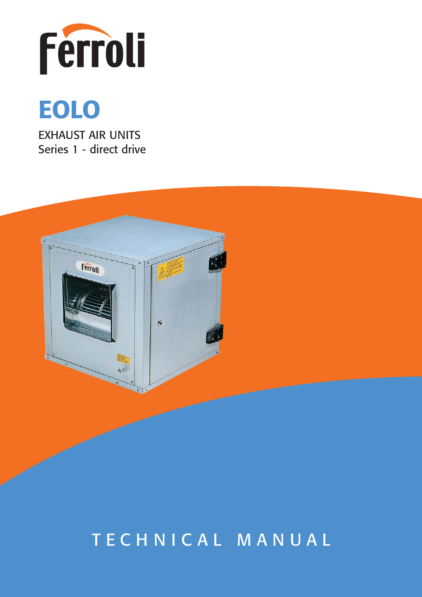



EXHAUST AIR UNITS Series 1 - direct drive



# TECHNICAL MANUAL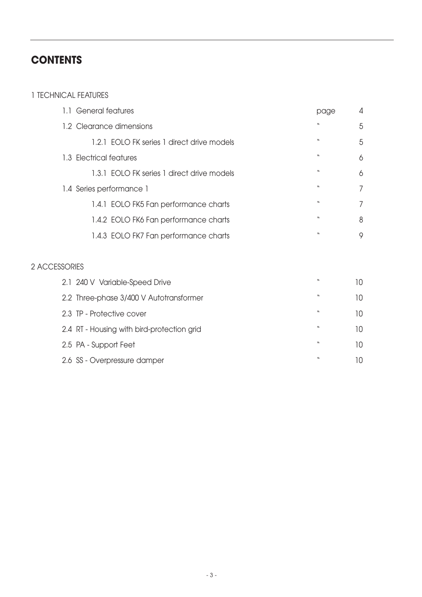## **CONTENTS**

#### 1 TECHNICAL FEATURES

| 1.1 General features                       | page             | 4 |
|--------------------------------------------|------------------|---|
| 1.2 Clearance dimensions                   | $\boldsymbol{M}$ | 5 |
| 1.2.1 EOLO FK series 1 direct drive models | $\boldsymbol{M}$ | 5 |
| 1.3 Electrical features                    | $\boldsymbol{M}$ | 6 |
| 1.3.1 EOLO FK series 1 direct drive models | $\boldsymbol{M}$ | 6 |
| 1.4 Series performance 1                   | $\boldsymbol{M}$ | 7 |
| 1.4.1 EOLO FK5 Fan performance charts      | $\boldsymbol{M}$ | 7 |
| 1.4.2 EOLO FK6 Fan performance charts      | $\boldsymbol{M}$ | 8 |
| 1.4.3 EOLO FK7 Fan performance charts      | $\boldsymbol{M}$ | 9 |

#### 2 ACCESSORIES

| 2.1 240 V Variable-Speed Drive             | $\boldsymbol{v}$ | 10. |
|--------------------------------------------|------------------|-----|
| 2.2 Three-phase 3/400 V Autotransformer    | w                | 10. |
| 2.3 TP - Protective cover                  | $\boldsymbol{v}$ | 10. |
| 2.4 RT - Housing with bird-protection grid | $\boldsymbol{M}$ | 10. |
| 2.5 PA - Support Feet                      | w                | 10. |
| 2.6 SS - Overpressure damper               | $\boldsymbol{M}$ | 10  |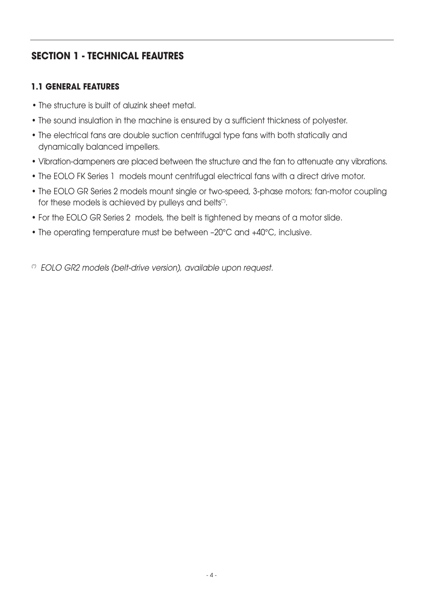## **SECTION 1 - TECHNICAL FEAUTRES**

#### **1.1 GENERAL FEATURES**

- **•** The structure is built of aluzink sheet metal.
- The sound insulation in the machine is ensured by a sufficient thickness of polyester.
- The electrical fans are double suction centrifugal type fans with both statically and dynamically balanced impellers.
- Vibration-dampeners are placed between the structure and the fan to attenuate any vibrations.
- The EOLO FK Series 1 models mount centrifugal electrical fans with a direct drive motor.
- The EOLO GR Series 2 models mount single or two-speed, 3-phase motors; fan-motor coupling for these models is achieved by pulleys and belts<sup>(\*)</sup>.
- For the EOLO GR Series 2 models, the belt is tightened by means of a motor slide.
- The operating temperature must be between –20°C and +40°C, inclusive.

(\*) EOLO GR2 models (belt-drive version), available upon request.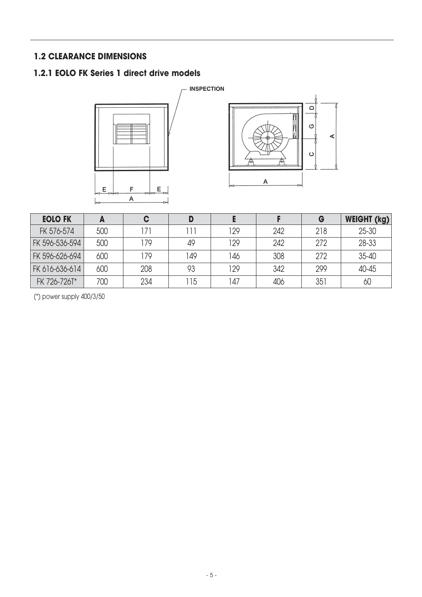#### **1.2 CLEARANCE DIMENSIONS**

#### **1.2.1 EOLO FK Series 1 direct drive models**





| <b>EOLO FK</b> | A   | C   |     |     |     | G   | <b>WEIGHT (kg)</b> |
|----------------|-----|-----|-----|-----|-----|-----|--------------------|
| FK 576-574     | 500 | 171 |     | 129 | 242 | 218 | $25 - 30$          |
| FK 596-536-594 | 500 | 179 | 49  | 129 | 242 | 272 | $28 - 33$          |
| FK 596-626-694 | 600 | 179 | 149 | 146 | 308 | 272 | $35 - 40$          |
| FK 616-636-614 | 600 | 208 | 93  | 129 | 342 | 299 | 40-45              |
| FK 726-726T*   | 700 | 234 | 15  | 47  | 406 | 351 | 60                 |

(\*) power supply 400/3/50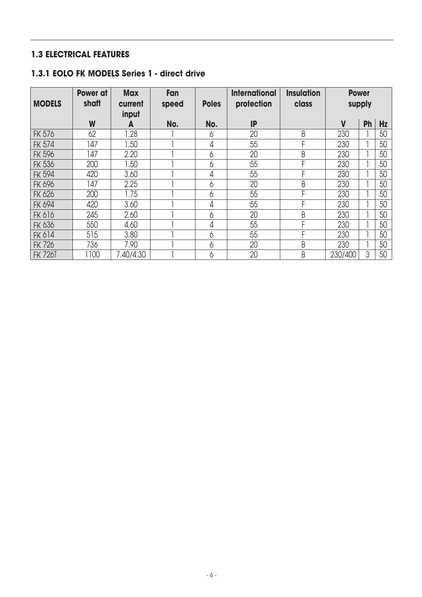## **1.3 ELECTRICAL FEATURES**

#### **1.3.1 EOLO FK MODELS Series 1 - direct drive**

| <b>MODELS</b>  | <b>Power at</b><br>shaft | <b>Max</b><br>current | Fan<br>speed | <b>Poles</b> | <b>International</b><br>protection | <b>Insulation</b><br>class | <b>Power</b> | supply    |           |
|----------------|--------------------------|-----------------------|--------------|--------------|------------------------------------|----------------------------|--------------|-----------|-----------|
|                | W                        | input<br>A            | No.          | No.          | IP                                 |                            | $\mathsf{V}$ | <b>Ph</b> | <b>Hz</b> |
| <b>FK 576</b>  | 62                       | .28                   |              | 6            | 20                                 | B                          | 230          |           | 50        |
| <b>FK 574</b>  | 147                      | .50                   |              | 4            | 55                                 | F                          | 230          |           | 50        |
| <b>FK 596</b>  | 147                      | 2.20                  |              | 6            | 20                                 | B                          | 230          |           | 50        |
| <b>FK 536</b>  | 200                      | 1.50                  |              | 6            | 55                                 | F                          | 230          |           | 50        |
| <b>FK 594</b>  | 420                      | 3.60                  |              | 4            | 55                                 | F                          | 230          |           | 50        |
| <b>FK 696</b>  | 147                      | 2.25                  |              | 6            | 20                                 | B                          | 230          |           | 50        |
| <b>FK 626</b>  | 200                      | 1.75                  |              | 6            | 55                                 | F                          | 230          |           | 50        |
| <b>FK 694</b>  | 420                      | 3.60                  |              | 4            | 55                                 | F                          | 230          |           | 50        |
| <b>FK 616</b>  | 245                      | 2.60                  |              | 6            | 20                                 | B                          | 230          |           | 50        |
| <b>FK 636</b>  | 550                      | 4.60                  |              | 4            | 55                                 | F                          | 230          |           | 50        |
| FK 614         | 515                      | 3.80                  |              | 6            | 55                                 | F                          | 230          |           | 50        |
| <b>FK 726</b>  | 736                      | 7.90                  |              | 6            | 20                                 | B                          | 230          |           | 50        |
| <b>FK 726T</b> | 1100                     | 7.40/4.30             |              | 6            | 20                                 | B                          | 230/400      | 3         | 50        |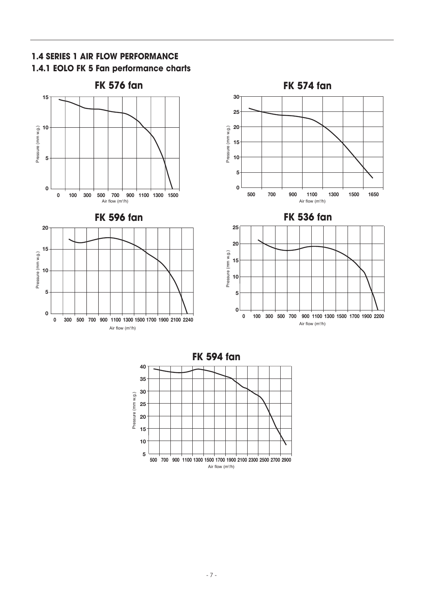

**1.4 SERIES 1 AIR FLOW PERFORMANCE** 

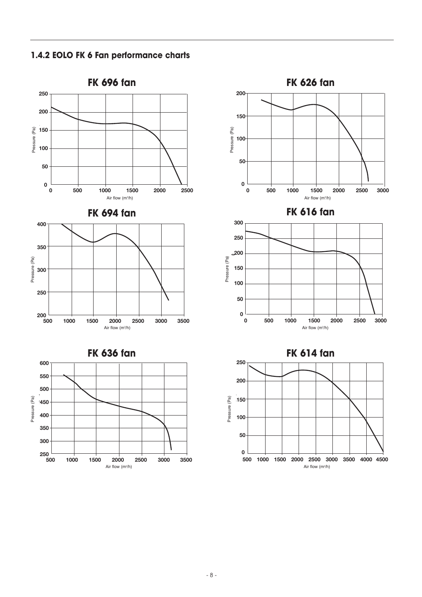**1.4.2 EOLO FK 6 Fan performance charts** 



**3000**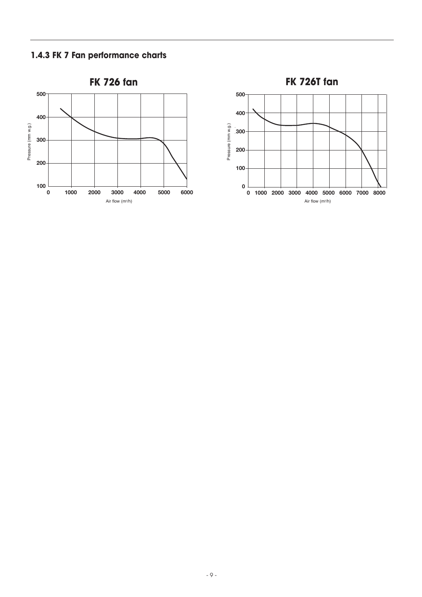#### **1.4.3 FK 7 Fan performance charts**



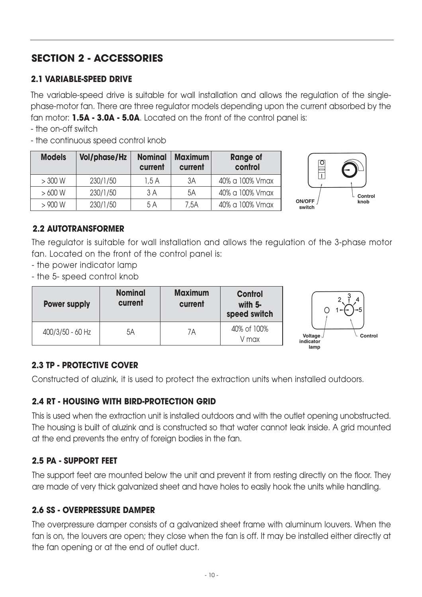# **SECTION 2 - ACCESSORIES**

## **2.1 VARIABLE-SPEED DRIVE**

The variable-speed drive is suitable for wall installation and allows the regulation of the singlephase-motor fan. There are three regulator models depending upon the current absorbed by the fan motor: **1.5A - 3.0A - 5.0A**. Located on the front of the control panel is:

- the on-off switch

- the continuous speed control knob

| <b>Models</b> | <b>Vol/phase/Hz</b> | <b>Nominal</b><br>current | <b>Maximum</b><br>current | <b>Range of</b><br>control |
|---------------|---------------------|---------------------------|---------------------------|----------------------------|
| $>300$ W      | 230/1/50            | 1.5A                      | 3A                        | 40% a 100% Vmax            |
| $>600$ W      | 230/1/50            | 3 A                       | 5A                        | 40% a 100% Vmax            |
| > 900 W       | 230/1/50            | 5 A                       | 7,5A                      | 40% a 100% Vmax            |



#### **2.2 AUTOTRANSFORMER**

The regulator is suitable for wall installation and allows the regulation of the 3-phase motor fan. Located on the front of the control panel is:

- the power indicator lamp
- the 5- speed control knob

| <b>Power supply</b> | <b>Nominal</b><br>current | <b>Maximum</b><br>current | <b>Control</b><br>with $5-$<br>speed switch | i-5                                                |
|---------------------|---------------------------|---------------------------|---------------------------------------------|----------------------------------------------------|
| 400/3/50 - 60 Hz    | 5A                        | 7Α                        | 40% of 100%<br>V max                        | Control<br>Voltage $\sqrt{ }$<br>indicator<br>lamp |

#### **2.3 TP - PROTECTIVE COVER**

Constructed of aluzink, it is used to protect the extraction units when installed outdoors.

#### **2.4 RT - HOUSING WITH BIRD-PROTECTION GRID**

This is used when the extraction unit is installed outdoors and with the outlet opening unobstructed. The housing is built of aluzink and is constructed so that water cannot leak inside. A grid mounted at the end prevents the entry of foreign bodies in the fan.

#### **2.5 PA - SUPPORT FEET**

The support feet are mounted below the unit and prevent it from resting directly on the floor. They are made of very thick galvanized sheet and have holes to easily hook the units while handling.

#### **2.6 SS - OVERPRESSURE DAMPER**

The overpressure damper consists of a galvanized sheet frame with aluminum louvers. When the fan is on, the louvers are open; they close when the fan is off. It may be installed either directly at the fan opening or at the end of outlet duct.